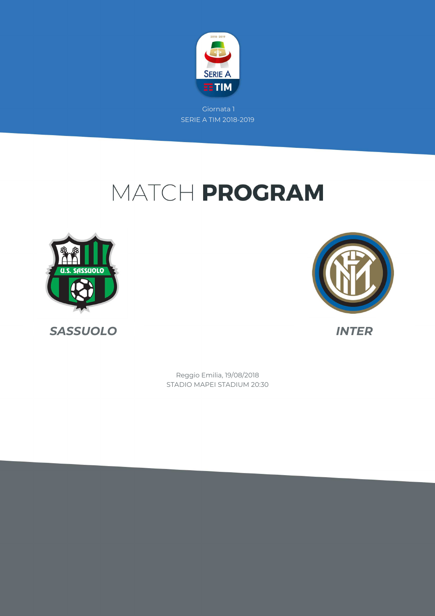

# MATCH PROGRAM







STADIO MAPEI STADIUM 20:30 Reggio Emilia, 19/08/2018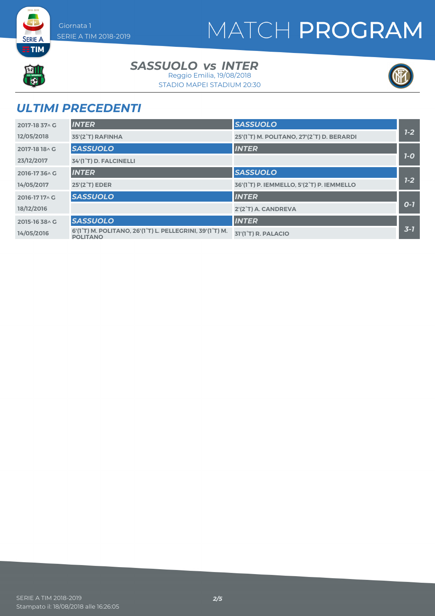### MATCH PROGRAM



**SERIE A EETIM** 

#### *SASSUOLO INTER vs*

STADIO MAPEI STADIUM 20:30 Reggio Emilia, 19/08/2018



### *ULTIMI PRECEDENTI*

| 2017-18 37 \ G | <b>INTER</b>                                                                | <b>SASSUOLO</b>                           |         |
|----------------|-----------------------------------------------------------------------------|-------------------------------------------|---------|
| 12/05/2018     | 35'(2°T) RAFINHA                                                            | 25'(1°T) M. POLITANO, 27'(2°T) D. BERARDI | $1 - 2$ |
| 2017-18 18 \ G | <b>SASSUOLO</b>                                                             | <b>INTER</b>                              |         |
| 23/12/2017     | 34'(1°T) D. FALCINELLI                                                      |                                           | $7-0$   |
| 2016-1736 AG   | <b>INTER</b>                                                                | <b>SASSUOLO</b>                           |         |
| 14/05/2017     | 25'(2 <sup>°</sup> T) EDER                                                  | 36'(1°T) P. IEMMELLO, 5'(2°T) P. IEMMELLO | $7-2$   |
| 2016-1717^C    | <b>SASSUOLO</b>                                                             | <b>INTER</b>                              |         |
| 18/12/2016     |                                                                             | 2'(2°T) A. CANDREVA                       | $O-7$   |
| 2015-16 38 A G | <b>SASSUOLO</b>                                                             | <b>INTER</b>                              |         |
| 14/05/2016     | 6'(1°T) M. POLITANO, 26'(1°T) L. PELLEGRINI, 39'(1°T) M.<br><b>POLITANO</b> | 31'(1 <sup>°</sup> T) R. PALACIO          | $3 - 1$ |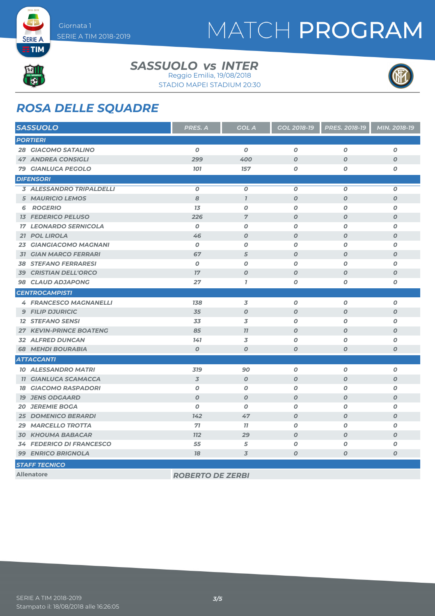# MATCH PROGRAM



**SERIE A EETIM** 

#### *SASSUOLO INTER vs*

STADIO MAPEI STADIUM 20:30 Reggio Emilia, 19/08/2018



#### *ROSA DELLE SQUADRE*

| <b>SASSUOLO</b>                 | PRES. A                 | <b>GOL A</b>        | GOL 2018-19        | PRES. 2018-19    | MIN. 2018-19     |
|---------------------------------|-------------------------|---------------------|--------------------|------------------|------------------|
| <b>PORTIERI</b>                 |                         |                     |                    |                  |                  |
| <b>28 GIACOMO SATALINO</b>      | 0                       | $\boldsymbol{o}$    | 0                  | 0                | $\boldsymbol{o}$ |
| <b>47 ANDREA CONSIGLI</b>       | 299                     | 400                 | $\boldsymbol{O}$   | $\boldsymbol{O}$ | $\boldsymbol{o}$ |
| <b>79 GIANLUCA PEGOLO</b>       | <b>101</b>              | 157                 | $\boldsymbol{O}$   | O                | O                |
| <b>DIFENSORI</b>                |                         |                     |                    |                  |                  |
| <b>3 ALESSANDRO TRIPALDELLI</b> | $\pmb{o}$               | $\boldsymbol{o}$    | $\boldsymbol{O}$   | O                | 0                |
| <b>5 MAURICIO LEMOS</b>         | 8                       | $\boldsymbol{\eta}$ | $\boldsymbol{O}$   | $\boldsymbol{O}$ | $\boldsymbol{o}$ |
| <b>ROGERIO</b><br>6             | 13                      | $\boldsymbol{0}$    | $\boldsymbol{O}$   | $\boldsymbol{O}$ | 0                |
| <b>13 FEDERICO PELUSO</b>       | 226                     | $\overline{7}$      | $\boldsymbol{O}$   | $\boldsymbol{O}$ | $\boldsymbol{o}$ |
| <b>17 LEONARDO SERNICOLA</b>    | 0                       | 0                   | 0                  | 0                | 0                |
| 21 POL LIROLA                   | 46                      | $\boldsymbol{O}$    | $\boldsymbol{O}$   | $\boldsymbol{O}$ | $\boldsymbol{O}$ |
| 23 GIANGIACOMO MAGNANI          | $\boldsymbol{O}$        | $\boldsymbol{O}$    | $\boldsymbol{O}$   | O                | 0                |
| <b>31 GIAN MARCO FERRARI</b>    | 67                      | 5                   | $\boldsymbol{O}$   | $\boldsymbol{O}$ | $\boldsymbol{O}$ |
| <b>38 STEFANO FERRARESI</b>     | 0                       | O                   | $\boldsymbol{O}$   | 0                | 0                |
| <b>39 CRISTIAN DELL'ORCO</b>    | 17                      | $\boldsymbol{0}$    | $\boldsymbol{O}$   | $\boldsymbol{O}$ | $\boldsymbol{o}$ |
| 98 CLAUD ADJAPONG               | 27                      | $\overline{I}$      | $\boldsymbol{O}$   | O                | 0                |
| <b>CENTROCAMPISTI</b>           |                         |                     |                    |                  |                  |
| <b>4 FRANCESCO MAGNANELLI</b>   | 138                     | 3                   | $\pmb{o}$          | O                | 0                |
| <b>9 FILIP DJURICIC</b>         | 35                      | $\boldsymbol{O}$    | $\boldsymbol{O}$   | $\boldsymbol{O}$ | $\boldsymbol{o}$ |
| <b>12 STEFANO SENSI</b>         | 33                      | 3                   | $\boldsymbol{O}$   | O                | 0                |
| <b>27 KEVIN-PRINCE BOATENG</b>  | 85                      | 11                  | $\boldsymbol{O}$   | $\boldsymbol{O}$ | $\boldsymbol{0}$ |
| <b>32 ALFRED DUNCAN</b>         | 141                     | 3                   | $\boldsymbol{O}$   | 0                | 0                |
| <b>68 MEHDI BOURABIA</b>        | $\boldsymbol{O}$        | $\boldsymbol{O}$    | $\boldsymbol{o}$   | O                | O                |
| <b>ATTACCANTI</b>               |                         |                     |                    |                  |                  |
| <b>10 ALESSANDRO MATRI</b>      | 319                     | 90                  | $\boldsymbol{o}$   | O                | 0                |
| <b>11 GIANLUCA SCAMACCA</b>     | $\overline{3}$          | $\boldsymbol{0}$    | $\boldsymbol{O}$   | $\boldsymbol{O}$ | $\boldsymbol{o}$ |
| <b>18 GIACOMO RASPADORI</b>     | O                       | $\boldsymbol{O}$    | $\boldsymbol{O}$   | O                | 0                |
| <b>19 JENS ODGAARD</b>          | $\boldsymbol{0}$        | $\boldsymbol{0}$    | $\boldsymbol{O}$   | O                | $\boldsymbol{o}$ |
| <b>20 JEREMIE BOGA</b>          | $\boldsymbol{O}$        | $\boldsymbol{O}$    | $\boldsymbol{O}$   | O                | 0                |
| <b>25 DOMENICO BERARDI</b>      | 142                     | 47                  | $\boldsymbol{O}$   | $\boldsymbol{O}$ | $\boldsymbol{O}$ |
| <b>29 MARCELLO TROTTA</b>       | 71                      | 11                  | $\boldsymbol{O}$   | $\boldsymbol{O}$ | 0                |
| <b>30 KHOUMA BABACAR</b>        | <b>712</b>              | 29                  | $\boldsymbol{O}$   | $\boldsymbol{O}$ | $\boldsymbol{o}$ |
| <b>34 FEDERICO DI FRANCESCO</b> | 55                      | 5                   | O                  | 0                | Ο                |
| <b>99 ENRICO BRIGNOLA</b>       | 78                      | 3                   | $\pmb{\mathit{O}}$ | $\boldsymbol{O}$ | 0                |
| <b>STAFF TECNICO</b>            |                         |                     |                    |                  |                  |
| <b>Allenatore</b>               | <b>ROBERTO DE ZERBI</b> |                     |                    |                  |                  |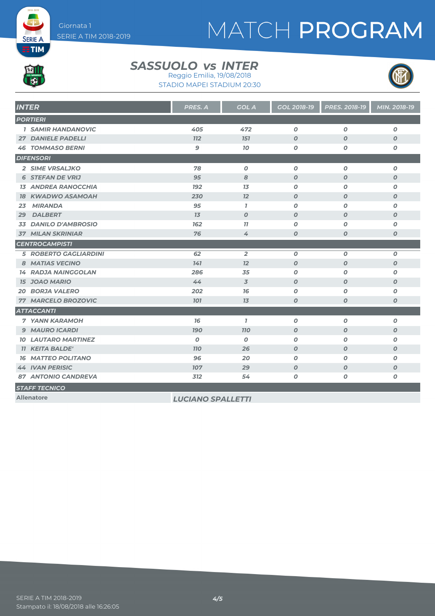# MATCH PROGRAM



**SERIE A EETIM** 

#### *SASSUOLO INTER vs* Reggio Emilia, 19/08/2018

STADIO MAPEI STADIUM 20:30



| <b>INTER</b>                   | PRES. A                  | <b>GOL A</b>             | <b>GOL 2018-19</b> | <b>PRES. 2018-19</b> | <b>MIN. 2018-19</b> |  |
|--------------------------------|--------------------------|--------------------------|--------------------|----------------------|---------------------|--|
| <b>PORTIERI</b>                |                          |                          |                    |                      |                     |  |
| <b>1 SAMIR HANDANOVIC</b>      | 405                      | 472                      | $\boldsymbol{0}$   | $\boldsymbol{0}$     | $\boldsymbol{0}$    |  |
| <b>27 DANIELE PADELLI</b>      | <b>112</b>               | <b>151</b>               | $\boldsymbol{O}$   | $\boldsymbol{0}$     | $\boldsymbol{O}$    |  |
| <b>46 TOMMASO BERNI</b>        | 9                        | 70                       | 0                  | 0                    | O                   |  |
| <b>DIFENSORI</b>               |                          |                          |                    |                      |                     |  |
| 2 SIME VRSALJKO                | 78                       | $\boldsymbol{o}$         | $\boldsymbol{o}$   | $\boldsymbol{O}$     | 0                   |  |
| <b>6 STEFAN DE VRIJ</b>        | 95                       | 8                        | $\boldsymbol{O}$   | $\boldsymbol{O}$     | $\boldsymbol{O}$    |  |
| <b>13 ANDREA RANOCCHIA</b>     | <b>192</b>               | 1 <sub>3</sub>           | 0                  | 0                    | O                   |  |
| <b>18 KWADWO ASAMOAH</b>       | 230                      | 12                       | $\boldsymbol{O}$   | $\boldsymbol{O}$     | $\boldsymbol{O}$    |  |
| <b>MIRANDA</b><br>23           | 95                       | $\mathbf{7}$             | 0                  | 0                    | 0                   |  |
| <b>DALBERT</b><br>29           | 13                       | $\boldsymbol{0}$         | $\boldsymbol{O}$   | $\boldsymbol{0}$     | $\boldsymbol{o}$    |  |
| <b>DANILO D'AMBROSIO</b><br>33 | 162                      | 77                       | $\boldsymbol{o}$   | 0                    | O                   |  |
| <b>37 MILAN SKRINIAR</b>       | 76                       | 4                        | $\boldsymbol{O}$   | $\boldsymbol{O}$     | $\boldsymbol{O}$    |  |
| <b>CENTROCAMPISTI</b>          |                          |                          |                    |                      |                     |  |
| <b>5 ROBERTO GAGLIARDINI</b>   | 62                       | $\overline{2}$           | $\boldsymbol{o}$   | $\boldsymbol{O}$     | $\boldsymbol{o}$    |  |
| 8 MATIAS VECINO                | 141                      | 12                       | $\boldsymbol{O}$   | $\boldsymbol{O}$     | $\boldsymbol{o}$    |  |
| <b>14 RADJA NAINGGOLAN</b>     | 286                      | 35                       | $\boldsymbol{o}$   | O                    | O                   |  |
| <b>15 JOAO MARIO</b>           | 44                       | $\overline{\mathcal{S}}$ | $\boldsymbol{O}$   | $\boldsymbol{0}$     | $\boldsymbol{O}$    |  |
| <b>20 BORJA VALERO</b>         | 202                      | 76                       | 0                  | 0                    | 0                   |  |
| 77 MARCELO BROZOVIC            | <b>101</b>               | 13                       | $\boldsymbol{o}$   | O                    | $\boldsymbol{o}$    |  |
| <b>ATTACCANTI</b>              |                          |                          |                    |                      |                     |  |
| <b>7 YANN KARAMOH</b>          | 76                       | $\mathbf{7}$             | $\boldsymbol{o}$   | 0                    | 0                   |  |
| <b>9 MAURO ICARDI</b>          | <b>190</b>               | <b>110</b>               | $\boldsymbol{O}$   | $\boldsymbol{O}$     | $\boldsymbol{o}$    |  |
| <b>10 LAUTARO MARTINEZ</b>     | $\boldsymbol{0}$         | 0                        | 0                  | 0                    | O                   |  |
| <b>11 KEITA BALDE'</b>         | <b>110</b>               | 26                       | $\boldsymbol{o}$   | $\boldsymbol{O}$     | $\boldsymbol{o}$    |  |
| <b>16 MATTEO POLITANO</b>      | 96                       | 20                       | $\boldsymbol{o}$   | O                    | $\boldsymbol{o}$    |  |
| <b>44 IVAN PERISIC</b>         | 107                      | 29                       | $\boldsymbol{O}$   | $\boldsymbol{0}$     | $\boldsymbol{O}$    |  |
| <b>87 ANTONIO CANDREVA</b>     | 312                      | 54                       | 0                  | 0                    | 0                   |  |
| <b>STAFF TECNICO</b>           |                          |                          |                    |                      |                     |  |
| <b>Allenatore</b>              | <b>LUCIANO SPALLETTI</b> |                          |                    |                      |                     |  |